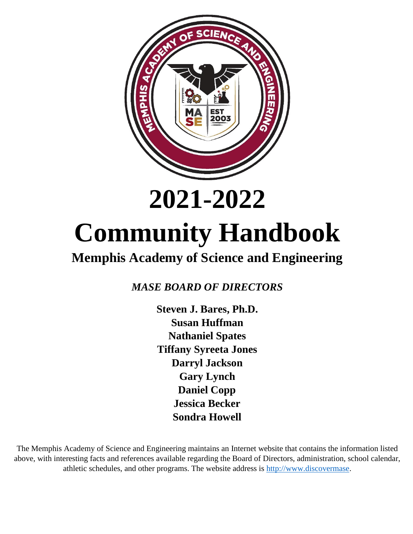

## **2021-2022**

# **Community Handbook**

## **Memphis Academy of Science and Engineering**

*MASE BOARD OF DIRECTORS*

**Steven J. Bares, Ph.D. Susan Huffman Nathaniel Spates Tiffany Syreeta Jones Darryl Jackson Gary Lynch Daniel Copp Jessica Becker Sondra Howell**

The Memphis Academy of Science and Engineering maintains an Internet website that contains the information listed above, with interesting facts and references available regarding the Board of Directors, administration, school calendar, athletic schedules, and other programs. The website address is [http://www.discovermase.](http://www.discovermase/)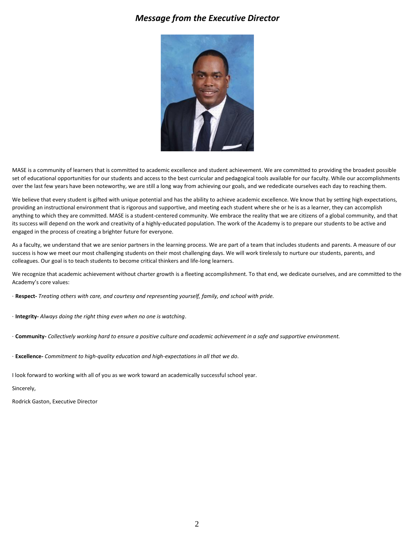#### *Message from the Executive Director*



MASE is a community of learners that is committed to academic excellence and student achievement. We are committed to providing the broadest possible set of educational opportunities for our students and access to the best curricular and pedagogical tools available for our faculty. While our accomplishments over the last few years have been noteworthy, we are still a long way from achieving our goals, and we rededicate ourselves each day to reaching them.

We believe that every student is gifted with unique potential and has the ability to achieve academic excellence. We know that by setting high expectations, providing an instructional environment that is rigorous and supportive, and meeting each student where she or he is as a learner, they can accomplish anything to which they are committed. MASE is a student-centered community. We embrace the reality that we are citizens of a global community, and that its success will depend on the work and creativity of a highly-educated population. The work of the Academy is to prepare our students to be active and engaged in the process of creating a brighter future for everyone.

As a faculty, we understand that we are senior partners in the learning process. We are part of a team that includes students and parents. A measure of our success is how we meet our most challenging students on their most challenging days. We will work tirelessly to nurture our students, parents, and colleagues. Our goal is to teach students to become critical thinkers and life-long learners.

We recognize that academic achievement without charter growth is a fleeting accomplishment. To that end, we dedicate ourselves, and are committed to the Academy's core values:

- · **Respect-** *Treating others with care, and courtesy and representing yourself, family, and school with pride.*
- · **Integrity-** *Always doing the right thing even when no one is watching*.
- · **Community-** *Collectively working hard to ensure a positive culture and academic achievement in a safe and supportive environment.*
- · **Excellence-** *Commitment to high-quality education and high-expectations in all that we do*.

I look forward to working with all of you as we work toward an academically successful school year.

#### Sincerely,

Rodrick Gaston, Executive Director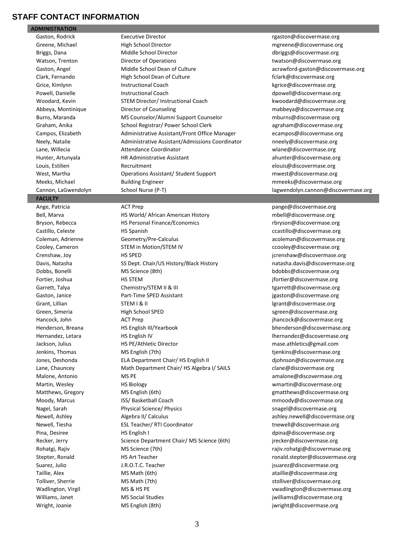#### **STAFF CONTACT INFORMATION**

**ADMINISTRATION**

#### **FACULTY**

Gaston, Rodrick **Executive Director Executive Director Executive Blue Constant Constant Constant Constant Constant Constant Constant Constant Constant Constant Constant Constant Constant Constant Constant Constant Cons** Greene, Michael **High School Director** match and many material matches of the High School Director metal material matches of the High School Director material material material material material material material material Briggs, Dana **Middle School Director** and the director [dbriggs@discovermase.org](mailto:dbriggs@discovermase.org) Watson, Trenton **Director of Operations** and the [twatson@discovermase.org](mailto:twatson@discovermase.org) Gaston, Angel **Middle School Dean of Culture** and acrawford-gaston@discovermase.org Clark, Fernando **Figh School Dean of Culture** Fight School Dean of Culture fclark@discovermase.org Grice, Kimlynn **Instructional Coach Instructional Coach kgrice@discovermase.org** Powell, Danielle **Instructional Coach** and the Instructional Coach development of the Instructional Coach development of the Instructional Coach development of the Instructional Coach development of the Instructional Coach Woodard, Kevin STEM Director/ Instructional Coach [kwoodard@discovermase.org](mailto:kwoodard@discovermase.org) Abbeya, Montinique **Director of Counseling mabbeya** mabbeya@discovermase.org Burns, Maranda **MS Counselor/Alumni Support Counselor** [mburns@discovermase.org](mailto:mburns@discovermase.org) Graham, Anika **School Registrar/ Power School Clerk** [agraham@discovermase.org](mailto:agraham@discovermase.org) Campos, Elizabeth **Administrative Assistant/Front Office Manager** [ecampos@discovermase.org](mailto:ecampos@discovermase.org) Neely, Natalie **Administrative Assistant/Admissions Coordinator** [nneely@discovermase.org](mailto:nneely@discovermase.org) Lane, Willecia **Attendance Coordinator** with the wilder with the coordinator with the with the with the with the m Hunter, Artunyala **HR Administrative Assistant** and a settember and a hunter@discovermase.org Louis, Estilien and Recruitment Elouis and the [elouis@discovermase.org](mailto:elouis@discovermase.org) West, Martha **CODITY: A CONTACT META** Operations Assistant/ Student Support mustal manuscular [mwest@discovermase.org](mailto:mwest@discovermase.org) Meeks, Michael **Building Engineer** meeks@discovermase.org meeks@discovermase.org Cannon, LaGwendolyn School Nurse (P-T) [lagwendolyn.cannon@discovermase.org](mailto:lagwendolyn.cannon@discovermase.org)

Bell, Marva **HS World/ African American History** mbell@discovermase.org mbell@discovermase.org Bryson, Rebecca **HS Personal Finance/Economics** rbryson@discovermase.org Castillo, Celeste HS Spanish ccastillo@discovermase.org Coleman, Adrienne Geometry/Pre-Calculus [acoleman@discovermase.org](mailto:acoleman@discovermase.org) Cooley, Cameron **STEM in Motion/STEM IV** COOley Cooley@discovermase.org Crenshaw, Joy **HS SPED** HS SPED in the setting of the setting of the setting of the setting of the setting of the setting of the setting of the setting of the setting of the setting of the setting of the setting of the set Davis, Natasha **SS Dept. Chair/US History/Black History** [natasha.davis@discovermase.org](mailto:natasha.davis@discovermase.org) Dobbs, Bonelli **MS Science (8th)** [bdobbs@discovermase.org](mailto:bdobbs@discovermase.org) Fortier, Joshua **HS STEM** HS STEM in the state of the state of the state of the state of the state of the state of the state of the state of the state of the state of the state of the state of the state of the state of the Garrett, Talya **Chemistry/STEM II & III** the state of the state of the state of the state of the state of the state of the state of the state of the state of the state of the state of the state of the state of the state of Gaston, Janice **Part-Time SPED Assistant** in the setting of the setting of the setting of the Part-Time SPED Assistant Grant, Lillian STEM I & II contained a street of the street of the street of the street of the STEM I & II and the street of the street of the street of the street of the street of the street of the street of the street of Green, Simeria **School SPED** and School SPED street and the series of the series of the School SPED series and the square series of the series of the series of the series of the series of the series of the series of the se Hancock, John ACT Prep [jhancock@discovermase.org](mailto:jhancock@discovermase.org) Henderson, Breana HS English III/Yearbook [bhenderson@discovermase.org](mailto:bhenderson@discovermase.org) Hernandez, Letara **HS English IV letter and English IV** lhernandez@discovermase.org Jackson, Julius HS PE/Athletic Director [mase.athletics@gmail.com](mailto:mase.athletics@gmail.com) Jenkins, Thomas **MS English (7th)** the state of the state of the state of the state of the state of the state of the state of the state of the state of the state of the state of the state of the state of the state of the s Jones, Deshonda **ELA Department Chair/ HS English II** djohnson@discovermase.org Lane, Chauncey **Math Department Chair/ HS Algebra I/ SAILS** clane@discovermase.org Malone, Antonio **MS PE** MS PE and Malone amalone@discovermase.org Martin, Wesley **Marting Community Community** HS Biology wmarting and the window wmarting discovermase.org Matthews, Gregory **MS English (6th)** Matthews@discovermase.org Moody, Marcus **ISS/ Basketball Coach micropolygy and mmoody@discovermase.org** mmoody@discovermase.org Nagel, Sarah **Physical Science/ Physics [snagel@discovermase.org](mailto:snagel@discovermase.org)** snagel@discovermase.org Newell, Ashley **Algebra II/ Calculus** [ashley.newell@discovermase.org](mailto:ashley.newell@discovermase.org) Newell, Tiesha **ESL Teacher/ RTI Coordinator** the state of the well@discovermase.org Pina, Desiree **HS English I** desiree HS English I desiree and the english in the english in the english in the english in the english in the english in the english in the english in the english in the english in the englis Recker, Jerry **Science Department Chair/ MS Science (6th)** jrecker@discovermase.org Rohatgi, Rajiv MS Science (7th) Moster and the majiv.rohatgi@discovermase.org and the majiv.rohatgi@discovermase.org Stepter, Ronald **HS Art Teacher [ronald.stepter@discovermase.org](mailto:ronald.stepter@discovermase.org)** by the construction of the construction of the construction of the construction of the construction of the construction of the construction of the constructi Suarez, Julio **Fig. 1.S. I.C. T. A. A. S. A. S. A. S. A. S. A. S. A. S. A. S. A. S. A. S. A. S. A. S. A. S. A. S. A. S. A. S. A. S. A. S. A. S. A. S. A. S. A. S. A. S. A. S. A. S. A. S. A. S. A. S. A. S. A. S. A. S. A. S.** Taillie, Alex **MS Math (6th)** [ataillie@discovermase.org](mailto:ataillie@discovermase.org) Tolliver, Sherrie **MS Math (7th)** [stolliver@discovermase.org](mailto:stolliver@discovermase.org) Wadlington, Virgil **MS & HS PE** viral many of the viral many viral many viral many viral many viral many viral many viral many viral many viral many viral many viral many viral many viral many viral many viral many viral m Williams, Janet **MS Social Studies** in the manufacture of the second version of the second version of the manufacture of the manufacture of the manufacture of the manufacture of the manufacture of the manufacture of the ma Wright, Joanie **MS English (8th)** in the manufacture of the manufacture of the manufacture of the manufacture of the manufacture of the manufacture of the manufacture of the manufacture of the manufacture of the manufactur

Ange, Patricia **ACT Prep pangement and ACT Prep** [pange@discovermase.org](mailto:pange@discovermase.org)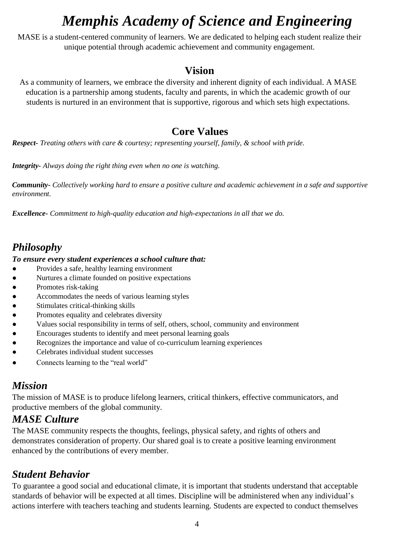## *Memphis Academy of Science and Engineering*

MASE is a student-centered community of learners. We are dedicated to helping each student realize their unique potential through academic achievement and community engagement.

## **Vision**

As a community of learners, we embrace the diversity and inherent dignity of each individual. A MASE education is a partnership among students, faculty and parents, in which the academic growth of our students is nurtured in an environment that is supportive, rigorous and which sets high expectations.

## **Core Values**

*Respect- Treating others with care & courtesy; representing yourself, family, & school with pride.*

*Integrity- Always doing the right thing even when no one is watching.*

*Community- Collectively working hard to ensure a positive culture and academic achievement in a safe and supportive environment.*

*Excellence- Commitment to high-quality education and high-expectations in all that we do.*

## *Philosophy*

#### *To ensure every student experiences a school culture that:*

- Provides a safe, healthy learning environment
- Nurtures a climate founded on positive expectations
- Promotes risk-taking
- Accommodates the needs of various learning styles
- Stimulates critical-thinking skills
- Promotes equality and celebrates diversity
- Values social responsibility in terms of self, others, school, community and environment
- Encourages students to identify and meet personal learning goals
- Recognizes the importance and value of co-curriculum learning experiences
- Celebrates individual student successes
- Connects learning to the "real world"

## *Mission*

The mission of MASE is to produce lifelong learners, critical thinkers, effective communicators, and productive members of the global community.

## *MASE Culture*

The MASE community respects the thoughts, feelings, physical safety, and rights of others and demonstrates consideration of property. Our shared goal is to create a positive learning environment enhanced by the contributions of every member.

## *Student Behavior*

To guarantee a good social and educational climate, it is important that students understand that acceptable standards of behavior will be expected at all times. Discipline will be administered when any individual's actions interfere with teachers teaching and students learning. Students are expected to conduct themselves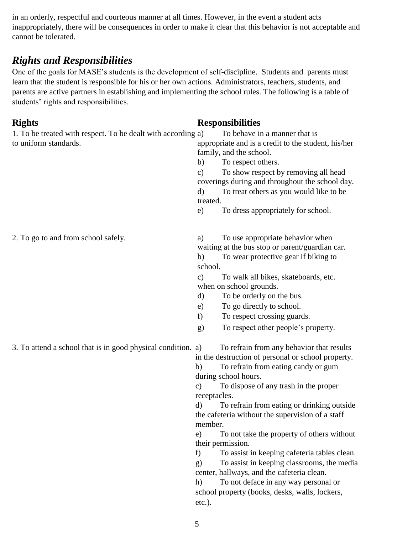in an orderly, respectful and courteous manner at all times. However, in the event a student acts inappropriately, there will be consequences in order to make it clear that this behavior is not acceptable and cannot be tolerated.

## *Rights and Responsibilities*

One of the goals for MASE's students is the development of self-discipline. Students and parents must learn that the student is responsible for his or her own actions. Administrators, teachers, students, and parents are active partners in establishing and implementing the school rules. The following is a table of students' rights and responsibilities.

### **Rights Responsibilities**

| 1. To be treated with respect. To be dealt with according a)<br>to uniform standards. | To behave in a manner that is<br>appropriate and is a credit to the student, his/her<br>family, and the school.<br>To respect others.<br>b)<br>To show respect by removing all head<br>$\mathbf{c})$<br>coverings during and throughout the school day.<br>To treat others as you would like to be<br>d)<br>treated.<br>To dress appropriately for school.<br>e)                                                                                                                                                                                                                                                                                                                                                          |
|---------------------------------------------------------------------------------------|---------------------------------------------------------------------------------------------------------------------------------------------------------------------------------------------------------------------------------------------------------------------------------------------------------------------------------------------------------------------------------------------------------------------------------------------------------------------------------------------------------------------------------------------------------------------------------------------------------------------------------------------------------------------------------------------------------------------------|
| 2. To go to and from school safely.                                                   | To use appropriate behavior when<br>a)<br>waiting at the bus stop or parent/guardian car.<br>To wear protective gear if biking to<br>b)<br>school.<br>To walk all bikes, skateboards, etc.<br>$\mathbf{c})$<br>when on school grounds.<br>To be orderly on the bus.<br>d)<br>To go directly to school.<br>e)<br>To respect crossing guards.<br>f)<br>To respect other people's property.<br>g)                                                                                                                                                                                                                                                                                                                            |
| 3. To attend a school that is in good physical condition. a)                          | To refrain from any behavior that results<br>in the destruction of personal or school property.<br>To refrain from eating candy or gum<br>b)<br>during school hours.<br>To dispose of any trash in the proper<br>$\mathbf{c})$<br>receptacles.<br>To refrain from eating or drinking outside<br>d)<br>the cafeteria without the supervision of a staff<br>member.<br>To not take the property of others without<br>e)<br>their permission.<br>f)<br>To assist in keeping cafeteria tables clean.<br>To assist in keeping classrooms, the media<br>$\mathbf{g}$<br>center, hallways, and the cafeteria clean.<br>To not deface in any way personal or<br>h)<br>school property (books, desks, walls, lockers,<br>$etc.$ ). |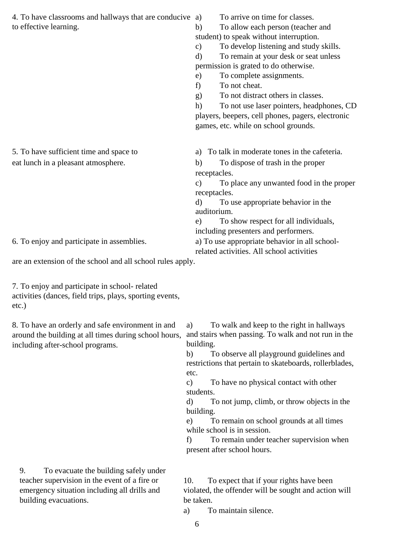| 4. To have classrooms and hallways that are conducive a)                                                                                                                                                                                                                                                            | To arrive on time for classes.                            |  |  |
|---------------------------------------------------------------------------------------------------------------------------------------------------------------------------------------------------------------------------------------------------------------------------------------------------------------------|-----------------------------------------------------------|--|--|
| to effective learning.                                                                                                                                                                                                                                                                                              | To allow each person (teacher and<br>b)                   |  |  |
|                                                                                                                                                                                                                                                                                                                     | student) to speak without interruption.                   |  |  |
|                                                                                                                                                                                                                                                                                                                     | To develop listening and study skills.<br>$\mathbf{c})$   |  |  |
|                                                                                                                                                                                                                                                                                                                     | To remain at your desk or seat unless<br>$\mathbf{d}$     |  |  |
|                                                                                                                                                                                                                                                                                                                     | permission is grated to do otherwise.                     |  |  |
|                                                                                                                                                                                                                                                                                                                     | To complete assignments.<br>e)                            |  |  |
|                                                                                                                                                                                                                                                                                                                     | To not cheat.<br>f)                                       |  |  |
|                                                                                                                                                                                                                                                                                                                     | To not distract others in classes.<br>g)                  |  |  |
|                                                                                                                                                                                                                                                                                                                     | h)<br>To not use laser pointers, headphones, CD           |  |  |
|                                                                                                                                                                                                                                                                                                                     | players, beepers, cell phones, pagers, electronic         |  |  |
|                                                                                                                                                                                                                                                                                                                     | games, etc. while on school grounds.                      |  |  |
|                                                                                                                                                                                                                                                                                                                     |                                                           |  |  |
| 5. To have sufficient time and space to                                                                                                                                                                                                                                                                             | a) To talk in moderate tones in the cafeteria.            |  |  |
| eat lunch in a pleasant atmosphere.                                                                                                                                                                                                                                                                                 | To dispose of trash in the proper<br>b)                   |  |  |
|                                                                                                                                                                                                                                                                                                                     | receptacles.                                              |  |  |
|                                                                                                                                                                                                                                                                                                                     | To place any unwanted food in the proper<br>$\mathbf{c})$ |  |  |
|                                                                                                                                                                                                                                                                                                                     | receptacles.                                              |  |  |
|                                                                                                                                                                                                                                                                                                                     | To use appropriate behavior in the<br>d)                  |  |  |
|                                                                                                                                                                                                                                                                                                                     | auditorium.                                               |  |  |
|                                                                                                                                                                                                                                                                                                                     | To show respect for all individuals,<br>e)                |  |  |
|                                                                                                                                                                                                                                                                                                                     | including presenters and performers.                      |  |  |
| 6. To enjoy and participate in assemblies.                                                                                                                                                                                                                                                                          | a) To use appropriate behavior in all school-             |  |  |
|                                                                                                                                                                                                                                                                                                                     | related activities. All school activities                 |  |  |
| $\frac{1}{2}$ $\frac{1}{2}$ $\frac{1}{2}$ $\frac{1}{2}$ $\frac{1}{2}$ $\frac{1}{2}$ $\frac{1}{2}$ $\frac{1}{2}$ $\frac{1}{2}$ $\frac{1}{2}$ $\frac{1}{2}$ $\frac{1}{2}$ $\frac{1}{2}$ $\frac{1}{2}$ $\frac{1}{2}$ $\frac{1}{2}$ $\frac{1}{2}$ $\frac{1}{2}$ $\frac{1}{2}$ $\frac{1}{2}$ $\frac{1}{2}$ $\frac{1}{2}$ |                                                           |  |  |

are an extension of the school and all school rules apply.

7. To enjoy and participate in school- related activities (dances, field trips, plays, sporting events, etc.)

8. To have an orderly and safe environment in and around the building at all times during school hours, including after-school programs.

9. To evacuate the building safely under teacher supervision in the event of a fire or emergency situation including all drills and building evacuations.

a) To walk and keep to the right in hallways and stairs when passing. To walk and not run in the building.

b) To observe all playground guidelines and restrictions that pertain to skateboards, rollerblades, etc.

c) To have no physical contact with other students.

d) To not jump, climb, or throw objects in the building.

e) To remain on school grounds at all times while school is in session.

f) To remain under teacher supervision when present after school hours.

10. To expect that if your rights have been violated, the offender will be sought and action will be taken.

a) To maintain silence.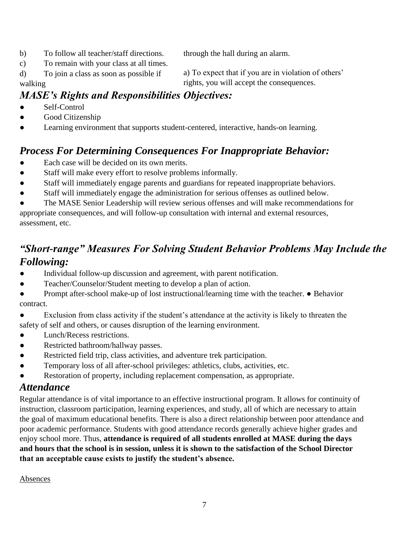b) To follow all teacher/staff directions.

c) To remain with your class at all times.

through the hall during an alarm.

a) To expect that if you are in violation of others'

rights, you will accept the consequences.

d) To join a class as soon as possible if walking

## *MASE's Rights and Responsibilities Objectives:*

- Self-Control
- Good Citizenship
- Learning environment that supports student-centered, interactive, hands-on learning.

## *Process For Determining Consequences For Inappropriate Behavior:*

- Each case will be decided on its own merits.
- Staff will make every effort to resolve problems informally.
- Staff will immediately engage parents and guardians for repeated inappropriate behaviors.
- Staff will immediately engage the administration for serious offenses as outlined below.

The MASE Senior Leadership will review serious offenses and will make recommendations for appropriate consequences, and will follow-up consultation with internal and external resources, assessment, etc.

## *"Short-range" Measures For Solving Student Behavior Problems May Include the Following:*

- Individual follow-up discussion and agreement, with parent notification.
- Teacher/Counselor/Student meeting to develop a plan of action.
- Prompt after-school make-up of lost instructional/learning time with the teacher. Behavior contract.
- Exclusion from class activity if the student's attendance at the activity is likely to threaten the safety of self and others, or causes disruption of the learning environment.
- Lunch/Recess restrictions.
- Restricted bathroom/hallway passes.
- Restricted field trip, class activities, and adventure trek participation.
- Temporary loss of all after-school privileges: athletics, clubs, activities, etc.
- Restoration of property, including replacement compensation, as appropriate.

#### *Attendance*

Regular attendance is of vital importance to an effective instructional program. It allows for continuity of instruction, classroom participation, learning experiences, and study, all of which are necessary to attain the goal of maximum educational benefits. There is also a direct relationship between poor attendance and poor academic performance. Students with good attendance records generally achieve higher grades and enjoy school more. Thus, **attendance is required of all students enrolled at MASE during the days and hours that the school is in session, unless it is shown to the satisfaction of the School Director that an acceptable cause exists to justify the student's absence.**

Absences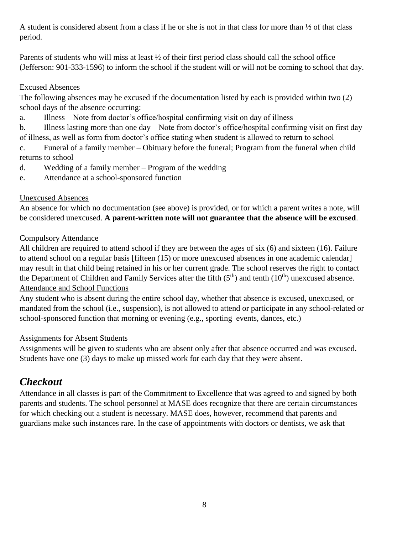A student is considered absent from a class if he or she is not in that class for more than ½ of that class period.

Parents of students who will miss at least ½ of their first period class should call the school office (Jefferson: 901-333-1596) to inform the school if the student will or will not be coming to school that day.

#### Excused Absences

The following absences may be excused if the documentation listed by each is provided within two (2) school days of the absence occurring:

a. Illness – Note from doctor's office/hospital confirming visit on day of illness

b. Illness lasting more than one day – Note from doctor's office/hospital confirming visit on first day of illness, as well as form from doctor's office stating when student is allowed to return to school

c. Funeral of a family member – Obituary before the funeral; Program from the funeral when child returns to school

d. Wedding of a family member – Program of the wedding

e. Attendance at a school-sponsored function

#### Unexcused Absences

An absence for which no documentation (see above) is provided, or for which a parent writes a note, will be considered unexcused. **A parent-written note will not guarantee that the absence will be excused**.

#### Compulsory Attendance

All children are required to attend school if they are between the ages of six (6) and sixteen (16). Failure to attend school on a regular basis [fifteen (15) or more unexcused absences in one academic calendar] may result in that child being retained in his or her current grade. The school reserves the right to contact the Department of Children and Family Services after the fifth  $(5<sup>th</sup>)$  and tenth  $(10<sup>th</sup>)$  unexcused absence. Attendance and School Functions

Any student who is absent during the entire school day, whether that absence is excused, unexcused, or mandated from the school (i.e., suspension), is not allowed to attend or participate in any school-related or school-sponsored function that morning or evening (e.g., sporting events, dances, etc.)

#### Assignments for Absent Students

Assignments will be given to students who are absent only after that absence occurred and was excused. Students have one (3) days to make up missed work for each day that they were absent.

## *Checkout*

Attendance in all classes is part of the Commitment to Excellence that was agreed to and signed by both parents and students. The school personnel at MASE does recognize that there are certain circumstances for which checking out a student is necessary. MASE does, however, recommend that parents and guardians make such instances rare. In the case of appointments with doctors or dentists, we ask that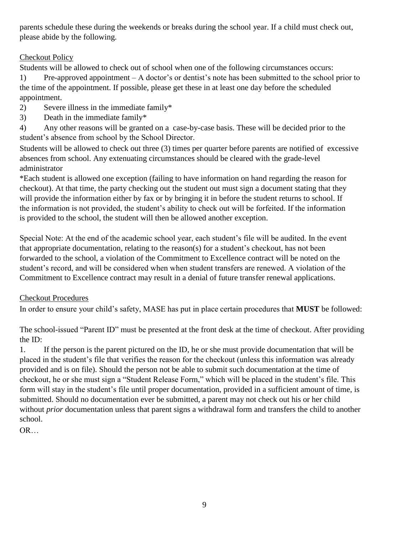parents schedule these during the weekends or breaks during the school year. If a child must check out, please abide by the following.

#### Checkout Policy

Students will be allowed to check out of school when one of the following circumstances occurs:

1) Pre-approved appointment – A doctor's or dentist's note has been submitted to the school prior to the time of the appointment. If possible, please get these in at least one day before the scheduled appointment.

- 2) Severe illness in the immediate family\*
- 3) Death in the immediate family\*

4) Any other reasons will be granted on a case-by-case basis. These will be decided prior to the student's absence from school by the School Director.

Students will be allowed to check out three (3) times per quarter before parents are notified of excessive absences from school. Any extenuating circumstances should be cleared with the grade-level administrator

\*Each student is allowed one exception (failing to have information on hand regarding the reason for checkout). At that time, the party checking out the student out must sign a document stating that they will provide the information either by fax or by bringing it in before the student returns to school. If the information is not provided, the student's ability to check out will be forfeited. If the information is provided to the school, the student will then be allowed another exception.

Special Note: At the end of the academic school year, each student's file will be audited. In the event that appropriate documentation, relating to the reason(s) for a student's checkout, has not been forwarded to the school, a violation of the Commitment to Excellence contract will be noted on the student's record, and will be considered when when student transfers are renewed. A violation of the Commitment to Excellence contract may result in a denial of future transfer renewal applications.

#### Checkout Procedures

In order to ensure your child's safety, MASE has put in place certain procedures that **MUST** be followed:

The school-issued "Parent ID" must be presented at the front desk at the time of checkout. After providing the ID:

1. If the person is the parent pictured on the ID, he or she must provide documentation that will be placed in the student's file that verifies the reason for the checkout (unless this information was already provided and is on file). Should the person not be able to submit such documentation at the time of checkout, he or she must sign a "Student Release Form," which will be placed in the student's file. This form will stay in the student's file until proper documentation, provided in a sufficient amount of time, is submitted. Should no documentation ever be submitted, a parent may not check out his or her child without *prior* documentation unless that parent signs a withdrawal form and transfers the child to another school.

OR…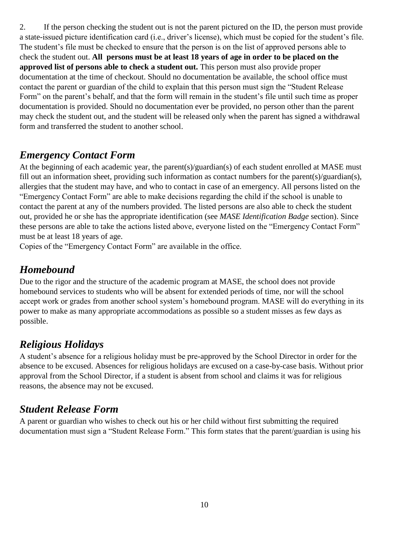2. If the person checking the student out is not the parent pictured on the ID, the person must provide a state-issued picture identification card (i.e., driver's license), which must be copied for the student's file. The student's file must be checked to ensure that the person is on the list of approved persons able to check the student out. **All persons must be at least 18 years of age in order to be placed on the approved list of persons able to check a student out.** This person must also provide proper documentation at the time of checkout. Should no documentation be available, the school office must contact the parent or guardian of the child to explain that this person must sign the "Student Release Form" on the parent's behalf, and that the form will remain in the student's file until such time as proper documentation is provided. Should no documentation ever be provided, no person other than the parent may check the student out, and the student will be released only when the parent has signed a withdrawal form and transferred the student to another school.

## *Emergency Contact Form*

At the beginning of each academic year, the parent(s)/guardian(s) of each student enrolled at MASE must fill out an information sheet, providing such information as contact numbers for the parent(s)/guardian(s), allergies that the student may have, and who to contact in case of an emergency. All persons listed on the "Emergency Contact Form" are able to make decisions regarding the child if the school is unable to contact the parent at any of the numbers provided. The listed persons are also able to check the student out, provided he or she has the appropriate identification (see *MASE Identification Badge* section). Since these persons are able to take the actions listed above, everyone listed on the "Emergency Contact Form" must be at least 18 years of age.

Copies of the "Emergency Contact Form" are available in the office.

## *Homebound*

Due to the rigor and the structure of the academic program at MASE, the school does not provide homebound services to students who will be absent for extended periods of time, nor will the school accept work or grades from another school system's homebound program. MASE will do everything in its power to make as many appropriate accommodations as possible so a student misses as few days as possible.

## *Religious Holidays*

A student's absence for a religious holiday must be pre-approved by the School Director in order for the absence to be excused. Absences for religious holidays are excused on a case-by-case basis. Without prior approval from the School Director, if a student is absent from school and claims it was for religious reasons, the absence may not be excused.

## *Student Release Form*

A parent or guardian who wishes to check out his or her child without first submitting the required documentation must sign a "Student Release Form." This form states that the parent/guardian is using his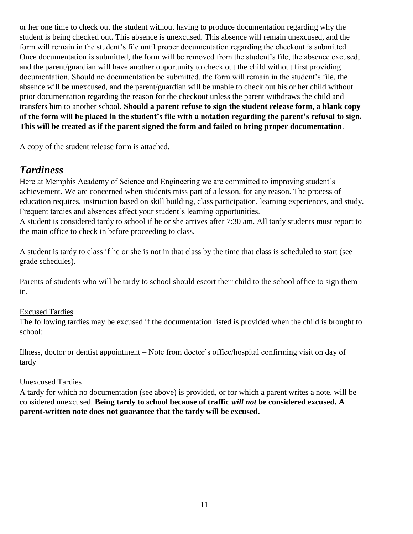or her one time to check out the student without having to produce documentation regarding why the student is being checked out. This absence is unexcused. This absence will remain unexcused, and the form will remain in the student's file until proper documentation regarding the checkout is submitted. Once documentation is submitted, the form will be removed from the student's file, the absence excused, and the parent/guardian will have another opportunity to check out the child without first providing documentation. Should no documentation be submitted, the form will remain in the student's file, the absence will be unexcused, and the parent/guardian will be unable to check out his or her child without prior documentation regarding the reason for the checkout unless the parent withdraws the child and transfers him to another school. **Should a parent refuse to sign the student release form, a blank copy of the form will be placed in the student's file with a notation regarding the parent's refusal to sign. This will be treated as if the parent signed the form and failed to bring proper documentation**.

A copy of the student release form is attached.

## *Tardiness*

Here at Memphis Academy of Science and Engineering we are committed to improving student's achievement. We are concerned when students miss part of a lesson, for any reason. The process of education requires, instruction based on skill building, class participation, learning experiences, and study. Frequent tardies and absences affect your student's learning opportunities. A student is considered tardy to school if he or she arrives after 7:30 am. All tardy students must report to

the main office to check in before proceeding to class.

A student is tardy to class if he or she is not in that class by the time that class is scheduled to start (see grade schedules).

Parents of students who will be tardy to school should escort their child to the school office to sign them in.

#### Excused Tardies

The following tardies may be excused if the documentation listed is provided when the child is brought to school:

Illness, doctor or dentist appointment – Note from doctor's office/hospital confirming visit on day of tardy

#### Unexcused Tardies

A tardy for which no documentation (see above) is provided, or for which a parent writes a note, will be considered unexcused. **Being tardy to school because of traffic** *will not* **be considered excused. A parent-written note does not guarantee that the tardy will be excused.**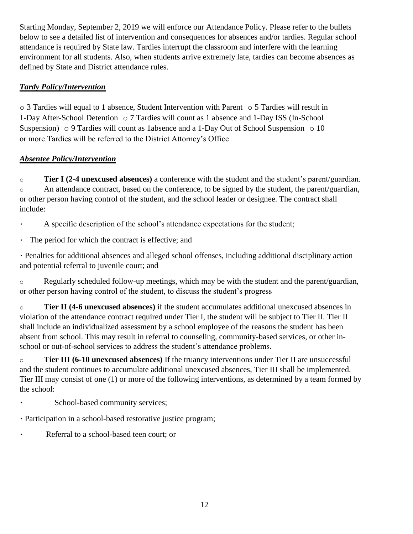Starting Monday, September 2, 2019 we will enforce our Attendance Policy. Please refer to the bullets below to see a detailed list of intervention and consequences for absences and/or tardies. Regular school attendance is required by State law*.* Tardies interrupt the classroom and interfere with the learning environment for all students. Also, when students arrive extremely late, tardies can become absences as defined by State and District attendance rules.

#### *Tardy Policy/Intervention*

o 3 Tardies will equal to 1 absence, Student Intervention with Parent o 5 Tardies will result in 1-Day After-School Detention o 7 Tardies will count as 1 absence and 1-Day ISS (In-School Suspension)  $\circ$  9 Tardies will count as 1absence and a 1-Day Out of School Suspension  $\circ$  10 or more Tardies will be referred to the District Attorney's Office

#### *Absentee Policy/Intervention*

o **Tier I (2-4 unexcused absences)** a conference with the student and the student's parent/guardian. o An attendance contract, based on the conference, to be signed by the student, the parent/guardian, or other person having control of the student, and the school leader or designee. The contract shall include:

A specific description of the school's attendance expectations for the student;

▪ The period for which the contract is effective; and

▪ Penalties for additional absences and alleged school offenses, including additional disciplinary action and potential referral to juvenile court; and

 $\circ$  Regularly scheduled follow-up meetings, which may be with the student and the parent/guardian, or other person having control of the student, to discuss the student's progress

o **Tier II (4-6 unexcused absences)** if the student accumulates additional unexcused absences in violation of the attendance contract required under Tier I, the student will be subject to Tier II. Tier II shall include an individualized assessment by a school employee of the reasons the student has been absent from school. This may result in referral to counseling, community-based services, or other inschool or out-of-school services to address the student's attendance problems.

o **Tier III (6-10 unexcused absences)** If the truancy interventions under Tier II are unsuccessful and the student continues to accumulate additional unexcused absences, Tier III shall be implemented. Tier III may consist of one (1) or more of the following interventions, as determined by a team formed by the school:

• School-based community services;

- Participation in a school-based restorative justice program;
- Referral to a school-based teen court; or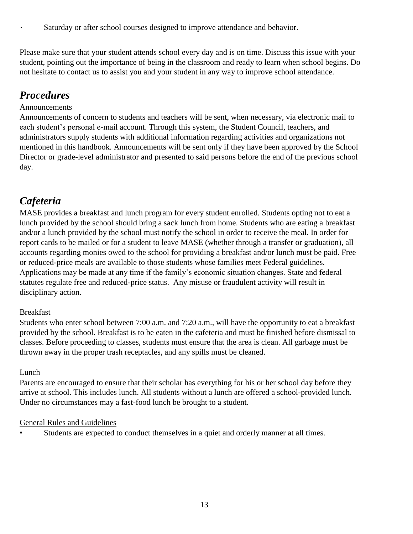▪ Saturday or after school courses designed to improve attendance and behavior.

Please make sure that your student attends school every day and is on time. Discuss this issue with your student, pointing out the importance of being in the classroom and ready to learn when school begins. Do not hesitate to contact us to assist you and your student in any way to improve school attendance.

## *Procedures*

#### Announcements

Announcements of concern to students and teachers will be sent, when necessary, via electronic mail to each student's personal e-mail account. Through this system, the Student Council, teachers, and administrators supply students with additional information regarding activities and organizations not mentioned in this handbook. Announcements will be sent only if they have been approved by the School Director or grade-level administrator and presented to said persons before the end of the previous school day.

## *Cafeteria*

MASE provides a breakfast and lunch program for every student enrolled. Students opting not to eat a lunch provided by the school should bring a sack lunch from home. Students who are eating a breakfast and/or a lunch provided by the school must notify the school in order to receive the meal. In order for report cards to be mailed or for a student to leave MASE (whether through a transfer or graduation), all accounts regarding monies owed to the school for providing a breakfast and/or lunch must be paid. Free or reduced-price meals are available to those students whose families meet Federal guidelines. Applications may be made at any time if the family's economic situation changes. State and federal statutes regulate free and reduced-price status. Any misuse or fraudulent activity will result in disciplinary action.

#### Breakfast

Students who enter school between 7:00 a.m. and 7:20 a.m., will have the opportunity to eat a breakfast provided by the school. Breakfast is to be eaten in the cafeteria and must be finished before dismissal to classes. Before proceeding to classes, students must ensure that the area is clean. All garbage must be thrown away in the proper trash receptacles, and any spills must be cleaned.

#### Lunch

Parents are encouraged to ensure that their scholar has everything for his or her school day before they arrive at school. This includes lunch. All students without a lunch are offered a school-provided lunch. Under no circumstances may a fast-food lunch be brought to a student.

#### General Rules and Guidelines

Students are expected to conduct themselves in a quiet and orderly manner at all times.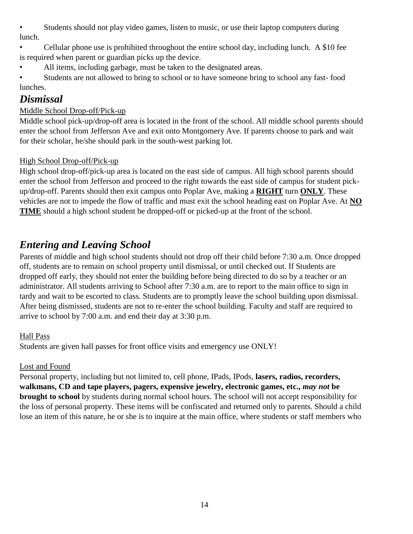• Students should not play video games, listen to music, or use their laptop computers during lunch.

• Cellular phone use is prohibited throughout the entire school day, including lunch. A \$10 fee is required when parent or guardian picks up the device.

All items, including garbage, must be taken to the designated areas.

• Students are not allowed to bring to school or to have someone bring to school any fast- food lunches.

#### *Dismissal*

#### Middle School Drop-off/Pick-up

Middle school pick-up/drop-off area is located in the front of the school. All middle school parents should enter the school from Jefferson Ave and exit onto Montgomery Ave. If parents choose to park and wait for their scholar, he/she should park in the south-west parking lot.

#### High School Drop-off/Pick-up

High school drop-off/pick-up area is located on the east side of campus. All high school parents should enter the school from Jefferson and proceed to the right towards the east side of campus for student pickup/drop-off. Parents should then exit campus onto Poplar Ave, making a **RIGHT** turn **ONLY**. These vehicles are not to impede the flow of traffic and must exit the school heading east on Poplar Ave. At **NO TIME** should a high school student be dropped-off or picked-up at the front of the school.

## *Entering and Leaving School*

Parents of middle and high school students should not drop off their child before 7:30 a.m. Once dropped off, students are to remain on school property until dismissal, or until checked out. If Students are dropped off early, they should not enter the building before being directed to do so by a teacher or an administrator. All students arriving to School after 7:30 a.m. are to report to the main office to sign in tardy and wait to be escorted to class. Students are to promptly leave the school building upon dismissal. After being dismissed, students are not to re-enter the school building. Faculty and staff are required to arrive to school by 7:00 a.m. and end their day at 3:30 p.m.

#### Hall Pass

Students are given hall passes for front office visits and emergency use ONLY!

#### Lost and Found

Personal property, including but not limited to, cell phone, IPads, IPods, lasers, radios, recorders, **walkmans, CD and tape players, pagers, expensive jewelry, electronic games, etc.,** *may not* **be brought to school** by students during normal school hours. The school will not accept responsibility for the loss of personal property. These items will be confiscated and returned only to parents. Should a child lose an item of this nature, he or she is to inquire at the main office, where students or staff members who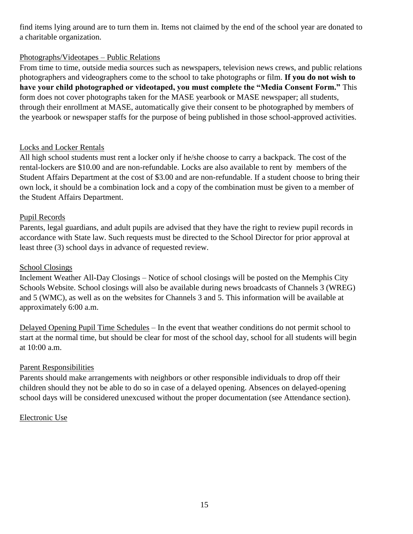find items lying around are to turn them in. Items not claimed by the end of the school year are donated to a charitable organization.

#### Photographs/Videotapes – Public Relations

From time to time, outside media sources such as newspapers, television news crews, and public relations photographers and videographers come to the school to take photographs or film. **If you do not wish to have your child photographed or videotaped, you must complete the "Media Consent Form."** This form does not cover photographs taken for the MASE yearbook or MASE newspaper; all students, through their enrollment at MASE, automatically give their consent to be photographed by members of the yearbook or newspaper staffs for the purpose of being published in those school-approved activities.

#### Locks and Locker Rentals

All high school students must rent a locker only if he/she choose to carry a backpack. The cost of the rental-lockers are \$10.00 and are non-refundable. Locks are also available to rent by members of the Student Affairs Department at the cost of \$3.00 and are non-refundable. If a student choose to bring their own lock, it should be a combination lock and a copy of the combination must be given to a member of the Student Affairs Department.

#### Pupil Records

Parents, legal guardians, and adult pupils are advised that they have the right to review pupil records in accordance with State law. Such requests must be directed to the School Director for prior approval at least three (3) school days in advance of requested review.

#### School Closings

Inclement Weather All-Day Closings – Notice of school closings will be posted on the Memphis City Schools Website. School closings will also be available during news broadcasts of Channels 3 (WREG) and 5 (WMC), as well as on the websites for Channels 3 and 5. This information will be available at approximately 6:00 a.m.

Delayed Opening Pupil Time Schedules – In the event that weather conditions do not permit school to start at the normal time, but should be clear for most of the school day, school for all students will begin at 10:00 a.m.

#### Parent Responsibilities

Parents should make arrangements with neighbors or other responsible individuals to drop off their children should they not be able to do so in case of a delayed opening. Absences on delayed-opening school days will be considered unexcused without the proper documentation (see Attendance section).

#### Electronic Use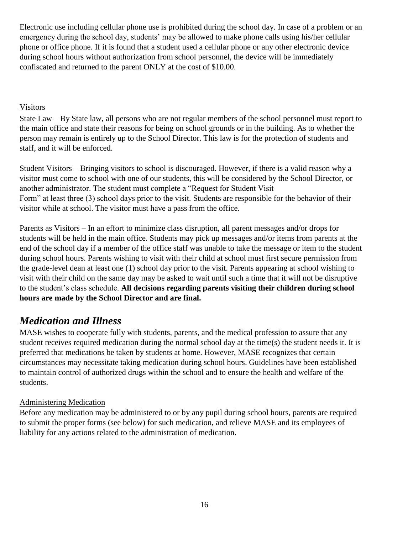Electronic use including cellular phone use is prohibited during the school day. In case of a problem or an emergency during the school day, students' may be allowed to make phone calls using his/her cellular phone or office phone. If it is found that a student used a cellular phone or any other electronic device during school hours without authorization from school personnel, the device will be immediately confiscated and returned to the parent ONLY at the cost of \$10.00.

#### **Visitors**

State Law – By State law, all persons who are not regular members of the school personnel must report to the main office and state their reasons for being on school grounds or in the building. As to whether the person may remain is entirely up to the School Director. This law is for the protection of students and staff, and it will be enforced.

Student Visitors – Bringing visitors to school is discouraged. However, if there is a valid reason why a visitor must come to school with one of our students, this will be considered by the School Director, or another administrator. The student must complete a "Request for Student Visit Form" at least three (3) school days prior to the visit. Students are responsible for the behavior of their visitor while at school. The visitor must have a pass from the office.

Parents as Visitors – In an effort to minimize class disruption, all parent messages and/or drops for students will be held in the main office. Students may pick up messages and/or items from parents at the end of the school day if a member of the office staff was unable to take the message or item to the student during school hours. Parents wishing to visit with their child at school must first secure permission from the grade-level dean at least one (1) school day prior to the visit. Parents appearing at school wishing to visit with their child on the same day may be asked to wait until such a time that it will not be disruptive to the student's class schedule. **All decisions regarding parents visiting their children during school hours are made by the School Director and are final.**

## *Medication and Illness*

MASE wishes to cooperate fully with students, parents, and the medical profession to assure that any student receives required medication during the normal school day at the time(s) the student needs it. It is preferred that medications be taken by students at home. However, MASE recognizes that certain circumstances may necessitate taking medication during school hours. Guidelines have been established to maintain control of authorized drugs within the school and to ensure the health and welfare of the students.

#### Administering Medication

Before any medication may be administered to or by any pupil during school hours, parents are required to submit the proper forms (see below) for such medication, and relieve MASE and its employees of liability for any actions related to the administration of medication.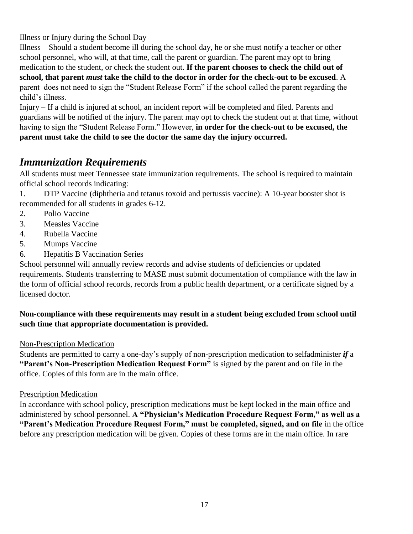Illness or Injury during the School Day

Illness – Should a student become ill during the school day, he or she must notify a teacher or other school personnel, who will, at that time, call the parent or guardian. The parent may opt to bring medication to the student, or check the student out. **If the parent chooses to check the child out of school, that parent** *must* **take the child to the doctor in order for the check-out to be excused**. A parent does not need to sign the "Student Release Form" if the school called the parent regarding the child's illness.

Injury – If a child is injured at school, an incident report will be completed and filed. Parents and guardians will be notified of the injury. The parent may opt to check the student out at that time, without having to sign the "Student Release Form." However, **in order for the check-out to be excused, the parent must take the child to see the doctor the same day the injury occurred.**

## *Immunization Requirements*

All students must meet Tennessee state immunization requirements. The school is required to maintain official school records indicating:

1. DTP Vaccine (diphtheria and tetanus toxoid and pertussis vaccine): A 10-year booster shot is recommended for all students in grades 6-12.

- 2. Polio Vaccine
- 3. Measles Vaccine
- 4. Rubella Vaccine
- 5. Mumps Vaccine
- 6. Hepatitis B Vaccination Series

School personnel will annually review records and advise students of deficiencies or updated requirements. Students transferring to MASE must submit documentation of compliance with the law in the form of official school records, records from a public health department, or a certificate signed by a licensed doctor.

#### **Non-compliance with these requirements may result in a student being excluded from school until such time that appropriate documentation is provided.**

#### Non-Prescription Medication

Students are permitted to carry a one-day's supply of non-prescription medication to selfadminister *if* a **"Parent's Non-Prescription Medication Request Form"** is signed by the parent and on file in the office. Copies of this form are in the main office.

#### Prescription Medication

In accordance with school policy, prescription medications must be kept locked in the main office and administered by school personnel. **A "Physician's Medication Procedure Request Form," as well as a**  "Parent's Medication Procedure Request Form," must be completed, signed, and on file in the office before any prescription medication will be given. Copies of these forms are in the main office. In rare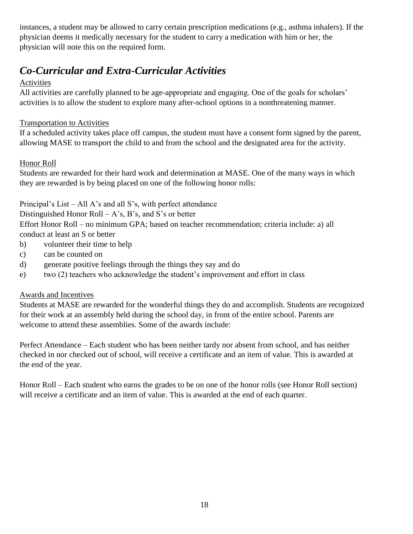instances, a student may be allowed to carry certain prescription medications (e.g., asthma inhalers). If the physician deems it medically necessary for the student to carry a medication with him or her, the physician will note this on the required form.

## *Co-Curricular and Extra-Curricular Activities*

#### Activities

All activities are carefully planned to be age-appropriate and engaging. One of the goals for scholars' activities is to allow the student to explore many after-school options in a nonthreatening manner.

#### Transportation to Activities

If a scheduled activity takes place off campus, the student must have a consent form signed by the parent, allowing MASE to transport the child to and from the school and the designated area for the activity.

#### Honor Roll

Students are rewarded for their hard work and determination at MASE. One of the many ways in which they are rewarded is by being placed on one of the following honor rolls:

Principal's List – All A's and all S's, with perfect attendance

Distinguished Honor Roll – A's, B's, and S's or better

Effort Honor Roll – no minimum GPA; based on teacher recommendation; criteria include: a) all conduct at least an S or better

- b) volunteer their time to help
- c) can be counted on
- d) generate positive feelings through the things they say and do
- e) two (2) teachers who acknowledge the student's improvement and effort in class

#### Awards and Incentives

Students at MASE are rewarded for the wonderful things they do and accomplish. Students are recognized for their work at an assembly held during the school day, in front of the entire school. Parents are welcome to attend these assemblies. Some of the awards include:

Perfect Attendance – Each student who has been neither tardy nor absent from school, and has neither checked in nor checked out of school, will receive a certificate and an item of value. This is awarded at the end of the year.

Honor Roll – Each student who earns the grades to be on one of the honor rolls (see Honor Roll section) will receive a certificate and an item of value. This is awarded at the end of each quarter.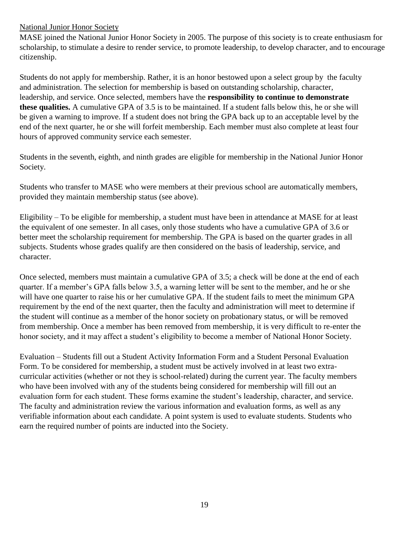#### National Junior Honor Society

MASE joined the National Junior Honor Society in 2005. The purpose of this society is to create enthusiasm for scholarship, to stimulate a desire to render service, to promote leadership, to develop character, and to encourage citizenship.

Students do not apply for membership. Rather, it is an honor bestowed upon a select group by the faculty and administration. The selection for membership is based on outstanding scholarship, character, leadership, and service. Once selected, members have the **responsibility to continue to demonstrate these qualities.** A cumulative GPA of 3.5 is to be maintained. If a student falls below this, he or she will be given a warning to improve. If a student does not bring the GPA back up to an acceptable level by the end of the next quarter, he or she will forfeit membership. Each member must also complete at least four hours of approved community service each semester.

Students in the seventh, eighth, and ninth grades are eligible for membership in the National Junior Honor Society.

Students who transfer to MASE who were members at their previous school are automatically members, provided they maintain membership status (see above).

Eligibility – To be eligible for membership, a student must have been in attendance at MASE for at least the equivalent of one semester. In all cases, only those students who have a cumulative GPA of 3.6 or better meet the scholarship requirement for membership. The GPA is based on the quarter grades in all subjects. Students whose grades qualify are then considered on the basis of leadership, service, and character.

Once selected, members must maintain a cumulative GPA of 3.5; a check will be done at the end of each quarter. If a member's GPA falls below 3.5, a warning letter will be sent to the member, and he or she will have one quarter to raise his or her cumulative GPA. If the student fails to meet the minimum GPA requirement by the end of the next quarter, then the faculty and administration will meet to determine if the student will continue as a member of the honor society on probationary status, or will be removed from membership. Once a member has been removed from membership, it is very difficult to re-enter the honor society, and it may affect a student's eligibility to become a member of National Honor Society.

Evaluation – Students fill out a Student Activity Information Form and a Student Personal Evaluation Form. To be considered for membership, a student must be actively involved in at least two extracurricular activities (whether or not they is school-related) during the current year. The faculty members who have been involved with any of the students being considered for membership will fill out an evaluation form for each student. These forms examine the student's leadership, character, and service. The faculty and administration review the various information and evaluation forms, as well as any verifiable information about each candidate. A point system is used to evaluate students. Students who earn the required number of points are inducted into the Society.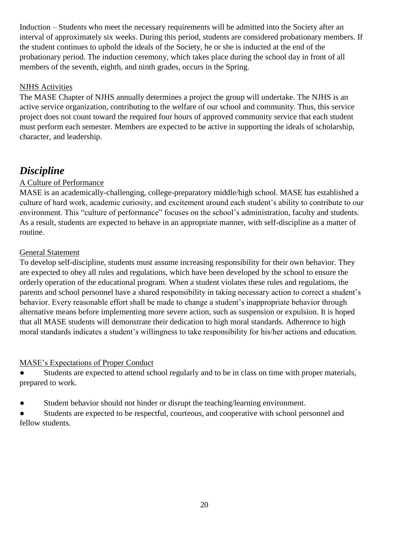Induction – Students who meet the necessary requirements will be admitted into the Society after an interval of approximately six weeks. During this period, students are considered probationary members. If the student continues to uphold the ideals of the Society, he or she is inducted at the end of the probationary period. The induction ceremony, which takes place during the school day in front of all members of the seventh, eighth, and ninth grades, occurs in the Spring.

#### NJHS Activities

The MASE Chapter of NJHS annually determines a project the group will undertake. The NJHS is an active service organization, contributing to the welfare of our school and community. Thus, this service project does not count toward the required four hours of approved community service that each student must perform each semester. Members are expected to be active in supporting the ideals of scholarship, character, and leadership.

## *Discipline*

#### A Culture of Performance

MASE is an academically-challenging, college-preparatory middle/high school. MASE has established a culture of hard work, academic curiosity, and excitement around each student's ability to contribute to our environment. This "culture of performance" focuses on the school's administration, faculty and students. As a result, students are expected to behave in an appropriate manner, with self-discipline as a matter of routine.

#### General Statement

To develop self-discipline, students must assume increasing responsibility for their own behavior. They are expected to obey all rules and regulations, which have been developed by the school to ensure the orderly operation of the educational program. When a student violates these rules and regulations, the parents and school personnel have a shared responsibility in taking necessary action to correct a student's behavior. Every reasonable effort shall be made to change a student's inappropriate behavior through alternative means before implementing more severe action, such as suspension or expulsion. It is hoped that all MASE students will demonstrate their dedication to high moral standards. Adherence to high moral standards indicates a student's willingness to take responsibility for his/her actions and education.

#### MASE's Expectations of Proper Conduct

• Students are expected to attend school regularly and to be in class on time with proper materials, prepared to work.

● Student behavior should not hinder or disrupt the teaching/learning environment.

Students are expected to be respectful, courteous, and cooperative with school personnel and fellow students.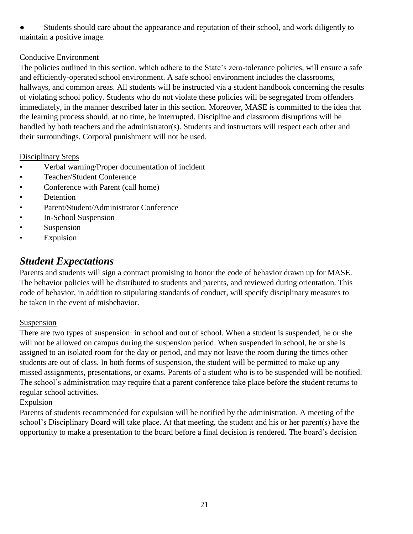Students should care about the appearance and reputation of their school, and work diligently to maintain a positive image.

#### Conducive Environment

The policies outlined in this section, which adhere to the State's zero-tolerance policies, will ensure a safe and efficiently-operated school environment. A safe school environment includes the classrooms, hallways, and common areas. All students will be instructed via a student handbook concerning the results of violating school policy. Students who do not violate these policies will be segregated from offenders immediately, in the manner described later in this section. Moreover, MASE is committed to the idea that the learning process should, at no time, be interrupted. Discipline and classroom disruptions will be handled by both teachers and the administrator(s). Students and instructors will respect each other and their surroundings. Corporal punishment will not be used.

#### Disciplinary Steps

- Verbal warning/Proper documentation of incident
- Teacher/Student Conference
- Conference with Parent (call home)
- Detention
- Parent/Student/Administrator Conference
- In-School Suspension
- Suspension
- Expulsion

## *Student Expectations*

Parents and students will sign a contract promising to honor the code of behavior drawn up for MASE. The behavior policies will be distributed to students and parents, and reviewed during orientation. This code of behavior, in addition to stipulating standards of conduct, will specify disciplinary measures to be taken in the event of misbehavior.

#### Suspension

There are two types of suspension: in school and out of school. When a student is suspended, he or she will not be allowed on campus during the suspension period. When suspended in school, he or she is assigned to an isolated room for the day or period, and may not leave the room during the times other students are out of class. In both forms of suspension, the student will be permitted to make up any missed assignments, presentations, or exams. Parents of a student who is to be suspended will be notified. The school's administration may require that a parent conference take place before the student returns to regular school activities.

#### Expulsion

Parents of students recommended for expulsion will be notified by the administration. A meeting of the school's Disciplinary Board will take place. At that meeting, the student and his or her parent(s) have the opportunity to make a presentation to the board before a final decision is rendered. The board's decision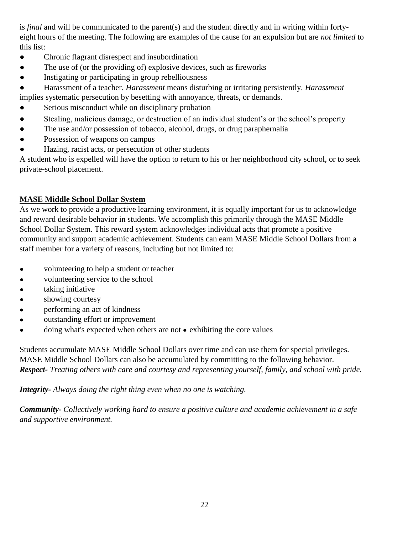is *final* and will be communicated to the parent(s) and the student directly and in writing within fortyeight hours of the meeting. The following are examples of the cause for an expulsion but are *not limited* to this list:

- Chronic flagrant disrespect and insubordination
- The use of (or the providing of) explosive devices, such as fireworks
- Instigating or participating in group rebelliousness
- Harassment of a teacher. *Harassment* means disturbing or irritating persistently. *Harassment*  implies systematic persecution by besetting with annoyance, threats, or demands.
- Serious misconduct while on disciplinary probation
- Stealing, malicious damage, or destruction of an individual student's or the school's property
- The use and/or possession of tobacco, alcohol, drugs, or drug paraphernalia
- Possession of weapons on campus
- Hazing, racist acts, or persecution of other students

A student who is expelled will have the option to return to his or her neighborhood city school, or to seek private-school placement.

#### **MASE Middle School Dollar System**

As we work to provide a productive learning environment, it is equally important for us to acknowledge and reward desirable behavior in students. We accomplish this primarily through the MASE Middle School Dollar System. This reward system acknowledges individual acts that promote a positive community and support academic achievement. Students can earn MASE Middle School Dollars from a staff member for a variety of reasons, including but not limited to:

- volunteering to help a student or teacher
- volunteering service to the school
- taking initiative
- showing courtesy
- performing an act of kindness
- outstanding effort or improvement
- doing what's expected when others are not exhibiting the core values

Students accumulate MASE Middle School Dollars over time and can use them for special privileges. MASE Middle School Dollars can also be accumulated by committing to the following behavior. *Respect- Treating others with care and courtesy and representing yourself, family, and school with pride.*

*Integrity- Always doing the right thing even when no one is watching.*

*Community- Collectively working hard to ensure a positive culture and academic achievement in a safe and supportive environment.*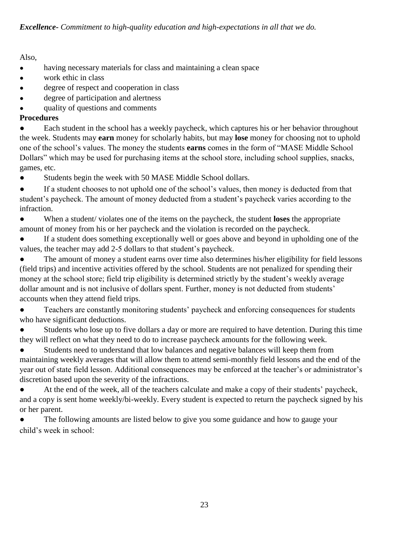#### Also,

- having necessary materials for class and maintaining a clean space
- work ethic in class
- degree of respect and cooperation in class
- degree of participation and alertness
- quality of questions and comments

#### **Procedures**

Each student in the school has a weekly paycheck, which captures his or her behavior throughout the week. Students may **earn** money for scholarly habits, but may **lose** money for choosing not to uphold one of the school's values. The money the students **earns** comes in the form of "MASE Middle School Dollars" which may be used for purchasing items at the school store, including school supplies, snacks, games, etc.

● Students begin the week with 50 MASE Middle School dollars.

If a student chooses to not uphold one of the school's values, then money is deducted from that student's paycheck. The amount of money deducted from a student's paycheck varies according to the infraction.

● When a student/ violates one of the items on the paycheck, the student **loses** the appropriate amount of money from his or her paycheck and the violation is recorded on the paycheck.

If a student does something exceptionally well or goes above and beyond in upholding one of the values, the teacher may add 2-5 dollars to that student's paycheck.

The amount of money a student earns over time also determines his/her eligibility for field lessons (field trips) and incentive activities offered by the school. Students are not penalized for spending their money at the school store; field trip eligibility is determined strictly by the student's weekly average dollar amount and is not inclusive of dollars spent. Further, money is not deducted from students' accounts when they attend field trips.

Teachers are constantly monitoring students' paycheck and enforcing consequences for students who have significant deductions.

Students who lose up to five dollars a day or more are required to have detention. During this time they will reflect on what they need to do to increase paycheck amounts for the following week.

Students need to understand that low balances and negative balances will keep them from maintaining weekly averages that will allow them to attend semi-monthly field lessons and the end of the year out of state field lesson. Additional consequences may be enforced at the teacher's or administrator's discretion based upon the severity of the infractions.

● At the end of the week, all of the teachers calculate and make a copy of their students' paycheck, and a copy is sent home weekly/bi-weekly. Every student is expected to return the paycheck signed by his or her parent.

The following amounts are listed below to give you some guidance and how to gauge your child's week in school: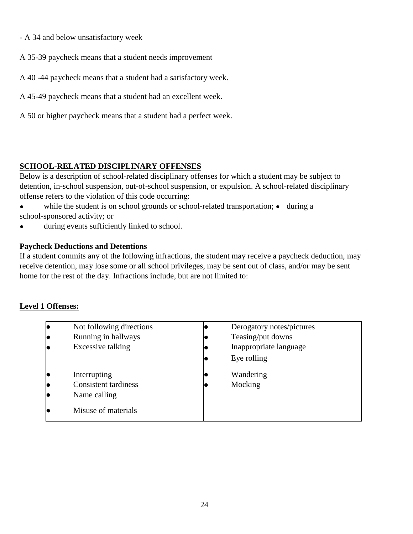- A 34 and below unsatisfactory week
- A 35-39 paycheck means that a student needs improvement
- A 40 -44 paycheck means that a student had a satisfactory week.
- A 45-49 paycheck means that a student had an excellent week.
- A 50 or higher paycheck means that a student had a perfect week.

#### **SCHOOL-RELATED DISCIPLINARY OFFENSES**

Below is a description of school-related disciplinary offenses for which a student may be subject to detention, in-school suspension, out-of-school suspension, or expulsion. A school-related disciplinary offense refers to the violation of this code occurring:

• while the student is on school grounds or school-related transportation; • during a school-sponsored activity; or

• during events sufficiently linked to school.

#### **Paycheck Deductions and Detentions**

If a student commits any of the following infractions, the student may receive a paycheck deduction, may receive detention, may lose some or all school privileges, may be sent out of class, and/or may be sent home for the rest of the day. Infractions include, but are not limited to:

#### **Level 1 Offenses:**

| Not following directions<br>Running in hallways | Derogatory notes/pictures<br>Teasing/put downs |
|-------------------------------------------------|------------------------------------------------|
| Excessive talking                               | Inappropriate language                         |
|                                                 | Eye rolling                                    |
| Interrupting                                    | Wandering                                      |
| <b>Consistent tardiness</b>                     | Mocking                                        |
| Name calling                                    |                                                |
| Misuse of materials                             |                                                |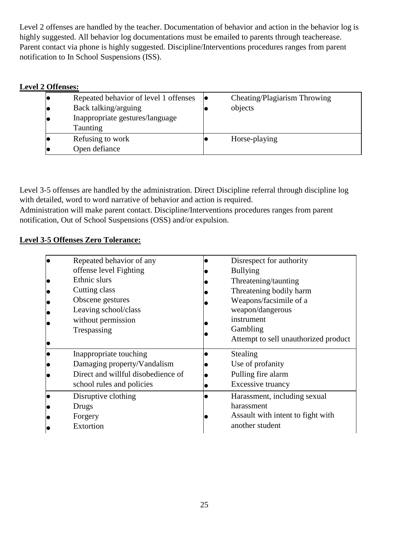Level 2 offenses are handled by the teacher. Documentation of behavior and action in the behavior log is highly suggested. All behavior log documentations must be emailed to parents through teacherease. Parent contact via phone is highly suggested. Discipline/Interventions procedures ranges from parent notification to In School Suspensions (ISS).

#### **Level 2 Offenses:**

| Repeated behavior of level 1 offenses | Cheating/Plagiarism Throwing |
|---------------------------------------|------------------------------|
| Back talking/arguing                  | objects                      |
| Inappropriate gestures/language       |                              |
| Taunting                              |                              |
| Refusing to work                      | Horse-playing                |
| Open defiance                         |                              |

Level 3-5 offenses are handled by the administration. Direct Discipline referral through discipline log with detailed, word to word narrative of behavior and action is required.

Administration will make parent contact. Discipline/Interventions procedures ranges from parent notification, Out of School Suspensions (OSS) and/or expulsion.

#### **Level 3-5 Offenses Zero Tolerance:**

| Repeated behavior of any           | Disrespect for authority             |
|------------------------------------|--------------------------------------|
| offense level Fighting             | <b>Bullying</b>                      |
| Ethnic slurs                       | Threatening/taunting                 |
| Cutting class                      | Threatening bodily harm              |
| Obscene gestures                   | Weapons/facsimile of a               |
| Leaving school/class               | weapon/dangerous                     |
| without permission                 | instrument                           |
| Trespassing                        | Gambling                             |
|                                    | Attempt to sell unauthorized product |
| Inappropriate touching             | Stealing                             |
| Damaging property/Vandalism        | Use of profanity                     |
| Direct and willful disobedience of | Pulling fire alarm                   |
| school rules and policies          | Excessive truancy                    |
| Disruptive clothing                | Harassment, including sexual         |
| Drugs                              | harassment                           |
| Forgery                            | Assault with intent to fight with    |
| Extortion                          | another student                      |
|                                    |                                      |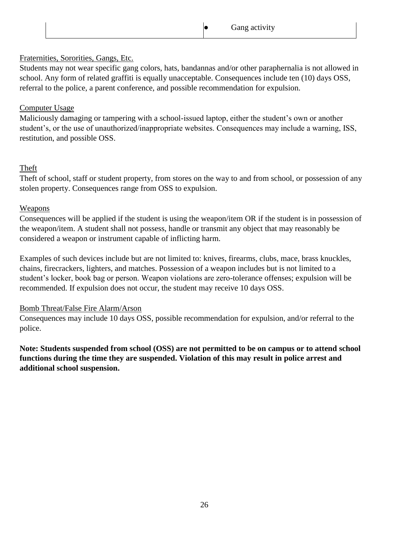#### Fraternities, Sororities, Gangs, Etc.

Students may not wear specific gang colors, hats, bandannas and/or other paraphernalia is not allowed in school. Any form of related graffiti is equally unacceptable. Consequences include ten (10) days OSS, referral to the police, a parent conference, and possible recommendation for expulsion.

#### Computer Usage

Maliciously damaging or tampering with a school-issued laptop, either the student's own or another student's, or the use of unauthorized/inappropriate websites. Consequences may include a warning, ISS, restitution, and possible OSS.

#### Theft

Theft of school, staff or student property, from stores on the way to and from school, or possession of any stolen property. Consequences range from OSS to expulsion.

#### Weapons

Consequences will be applied if the student is using the weapon/item OR if the student is in possession of the weapon/item. A student shall not possess, handle or transmit any object that may reasonably be considered a weapon or instrument capable of inflicting harm.

Examples of such devices include but are not limited to: knives, firearms, clubs, mace, brass knuckles, chains, firecrackers, lighters, and matches. Possession of a weapon includes but is not limited to a student's locker, book bag or person. Weapon violations are zero-tolerance offenses; expulsion will be recommended. If expulsion does not occur, the student may receive 10 days OSS.

#### Bomb Threat/False Fire Alarm/Arson

Consequences may include 10 days OSS, possible recommendation for expulsion, and/or referral to the police.

**Note: Students suspended from school (OSS) are not permitted to be on campus or to attend school functions during the time they are suspended. Violation of this may result in police arrest and additional school suspension.**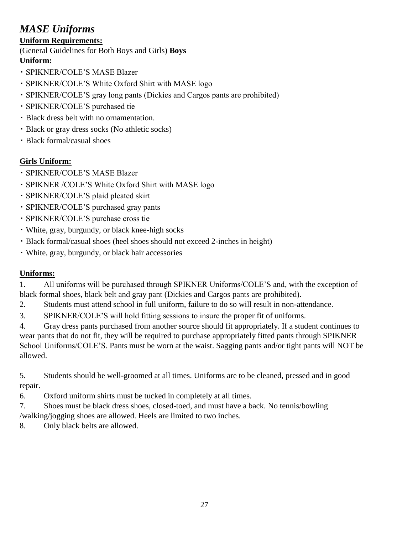## *MASE Uniforms*

#### **Uniform Requirements:**

(General Guidelines for Both Boys and Girls) **Boys Uniform:**

- SPIKNER/COLE'S MASE Blazer
- SPIKNER/COLE'S White Oxford Shirt with MASE logo
- SPIKNER/COLE'S gray long pants (Dickies and Cargos pants are prohibited)
- SPIKNER/COLE'S purchased tie
- Black dress belt with no ornamentation.
- Black or gray dress socks (No athletic socks)
- Black formal/casual shoes

#### **Girls Uniform:**

- SPIKNER/COLE'S MASE Blazer
- SPIKNER /COLE'S White Oxford Shirt with MASE logo
- SPIKNER/COLE'S plaid pleated skirt
- SPIKNER/COLE'S purchased gray pants
- SPIKNER/COLE'S purchase cross tie
- White, gray, burgundy, or black knee-high socks
- Black formal/casual shoes (heel shoes should not exceed 2-inches in height)
- White, gray, burgundy, or black hair accessories

#### **Uniforms:**

1. All uniforms will be purchased through SPIKNER Uniforms/COLE'S and, with the exception of black formal shoes, black belt and gray pant (Dickies and Cargos pants are prohibited).

2. Students must attend school in full uniform, failure to do so will result in non-attendance.

3. SPIKNER/COLE'S will hold fitting sessions to insure the proper fit of uniforms.

4. Gray dress pants purchased from another source should fit appropriately. If a student continues to wear pants that do not fit, they will be required to purchase appropriately fitted pants through SPIKNER School Uniforms/COLE'S. Pants must be worn at the waist. Sagging pants and/or tight pants will NOT be allowed.

5. Students should be well-groomed at all times. Uniforms are to be cleaned, pressed and in good repair.

6. Oxford uniform shirts must be tucked in completely at all times.

7. Shoes must be black dress shoes, closed-toed, and must have a back. No tennis/bowling /walking/jogging shoes are allowed. Heels are limited to two inches.

8. Only black belts are allowed.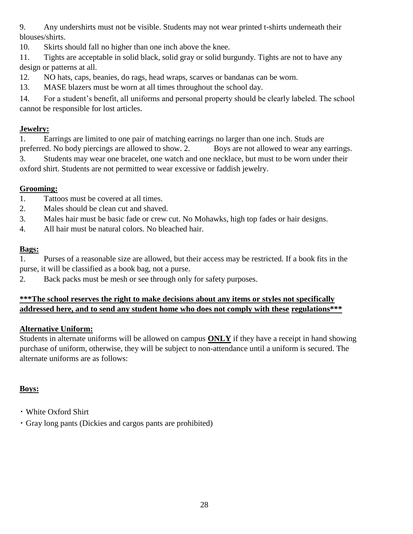9. Any undershirts must not be visible. Students may not wear printed t-shirts underneath their blouses/shirts.

10. Skirts should fall no higher than one inch above the knee.

11. Tights are acceptable in solid black, solid gray or solid burgundy. Tights are not to have any design or patterns at all.

12. NO hats, caps, beanies, do rags, head wraps, scarves or bandanas can be worn.

13. MASE blazers must be worn at all times throughout the school day.

14. For a student's benefit, all uniforms and personal property should be clearly labeled. The school cannot be responsible for lost articles.

#### **Jewelry:**

1. Earrings are limited to one pair of matching earrings no larger than one inch. Studs are preferred. No body piercings are allowed to show. 2. Boys are not allowed to wear any earrings. 3. Students may wear one bracelet, one watch and one necklace, but must to be worn under their oxford shirt. Students are not permitted to wear excessive or faddish jewelry.

#### **Grooming:**

- 1. Tattoos must be covered at all times.
- 2. Males should be clean cut and shaved.
- 3. Males hair must be basic fade or crew cut. No Mohawks, high top fades or hair designs.
- 4. All hair must be natural colors. No bleached hair.

#### **Bags:**

1. Purses of a reasonable size are allowed, but their access may be restricted. If a book fits in the purse, it will be classified as a book bag, not a purse.

2. Back packs must be mesh or see through only for safety purposes.

#### **\*\*\*The school reserves the right to make decisions about any items or styles not specifically addressed here, and to send any student home who does not comply with these regulations\*\*\***

#### **Alternative Uniform:**

Students in alternate uniforms will be allowed on campus **ONLY** if they have a receipt in hand showing purchase of uniform, otherwise, they will be subject to non-attendance until a uniform is secured. The alternate uniforms are as follows:

#### **Boys:**

- White Oxford Shirt
- Gray long pants (Dickies and cargos pants are prohibited)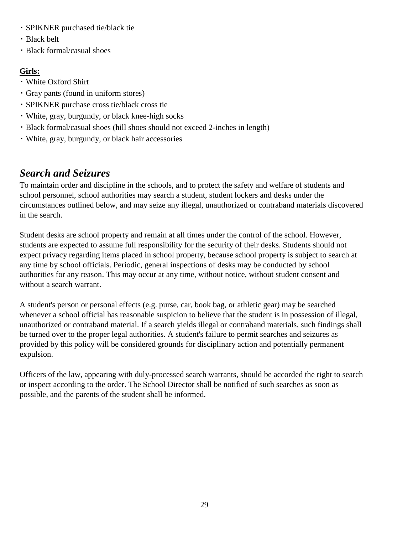- SPIKNER purchased tie/black tie
- Black belt
- Black formal/casual shoes

#### **Girls:**

- White Oxford Shirt
- Gray pants (found in uniform stores)
- SPIKNER purchase cross tie/black cross tie
- White, gray, burgundy, or black knee-high socks
- Black formal/casual shoes (hill shoes should not exceed 2-inches in length)
- White, gray, burgundy, or black hair accessories

## *Search and Seizures*

To maintain order and discipline in the schools, and to protect the safety and welfare of students and school personnel, school authorities may search a student, student lockers and desks under the circumstances outlined below, and may seize any illegal, unauthorized or contraband materials discovered in the search.

Student desks are school property and remain at all times under the control of the school. However, students are expected to assume full responsibility for the security of their desks. Students should not expect privacy regarding items placed in school property, because school property is subject to search at any time by school officials. Periodic, general inspections of desks may be conducted by school authorities for any reason. This may occur at any time, without notice, without student consent and without a search warrant.

A student's person or personal effects (e.g. purse, car, book bag, or athletic gear) may be searched whenever a school official has reasonable suspicion to believe that the student is in possession of illegal, unauthorized or contraband material. If a search yields illegal or contraband materials, such findings shall be turned over to the proper legal authorities. A student's failure to permit searches and seizures as provided by this policy will be considered grounds for disciplinary action and potentially permanent expulsion.

Officers of the law, appearing with duly-processed search warrants, should be accorded the right to search or inspect according to the order. The School Director shall be notified of such searches as soon as possible, and the parents of the student shall be informed.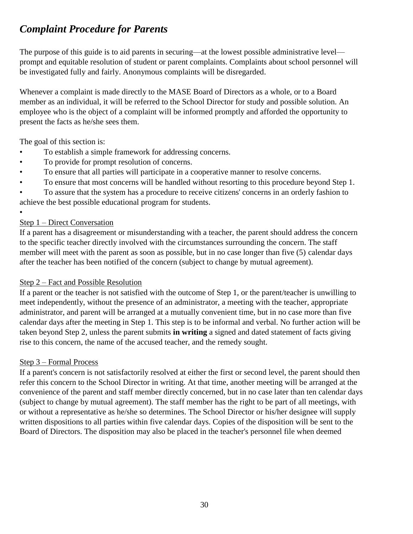## *Complaint Procedure for Parents*

The purpose of this guide is to aid parents in securing—at the lowest possible administrative level prompt and equitable resolution of student or parent complaints. Complaints about school personnel will be investigated fully and fairly. Anonymous complaints will be disregarded.

Whenever a complaint is made directly to the MASE Board of Directors as a whole, or to a Board member as an individual, it will be referred to the School Director for study and possible solution. An employee who is the object of a complaint will be informed promptly and afforded the opportunity to present the facts as he/she sees them.

The goal of this section is:

- To establish a simple framework for addressing concerns.
- To provide for prompt resolution of concerns.
- To ensure that all parties will participate in a cooperative manner to resolve concerns.
- To ensure that most concerns will be handled without resorting to this procedure beyond Step 1.

• To assure that the system has a procedure to receive citizens' concerns in an orderly fashion to achieve the best possible educational program for students.

#### Step 1 – Direct Conversation

•

If a parent has a disagreement or misunderstanding with a teacher, the parent should address the concern to the specific teacher directly involved with the circumstances surrounding the concern. The staff member will meet with the parent as soon as possible, but in no case longer than five (5) calendar days after the teacher has been notified of the concern (subject to change by mutual agreement).

#### Step 2 – Fact and Possible Resolution

If a parent or the teacher is not satisfied with the outcome of Step 1, or the parent/teacher is unwilling to meet independently, without the presence of an administrator, a meeting with the teacher, appropriate administrator, and parent will be arranged at a mutually convenient time, but in no case more than five calendar days after the meeting in Step 1. This step is to be informal and verbal. No further action will be taken beyond Step 2, unless the parent submits **in writing** a signed and dated statement of facts giving rise to this concern, the name of the accused teacher, and the remedy sought.

#### Step 3 – Formal Process

If a parent's concern is not satisfactorily resolved at either the first or second level, the parent should then refer this concern to the School Director in writing. At that time, another meeting will be arranged at the convenience of the parent and staff member directly concerned, but in no case later than ten calendar days (subject to change by mutual agreement). The staff member has the right to be part of all meetings, with or without a representative as he/she so determines. The School Director or his/her designee will supply written dispositions to all parties within five calendar days. Copies of the disposition will be sent to the Board of Directors. The disposition may also be placed in the teacher's personnel file when deemed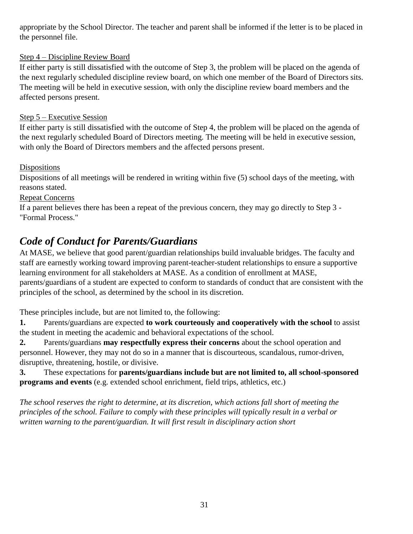appropriate by the School Director. The teacher and parent shall be informed if the letter is to be placed in the personnel file.

#### Step 4 – Discipline Review Board

If either party is still dissatisfied with the outcome of Step 3, the problem will be placed on the agenda of the next regularly scheduled discipline review board, on which one member of the Board of Directors sits. The meeting will be held in executive session, with only the discipline review board members and the affected persons present.

#### Step 5 – Executive Session

If either party is still dissatisfied with the outcome of Step 4, the problem will be placed on the agenda of the next regularly scheduled Board of Directors meeting. The meeting will be held in executive session, with only the Board of Directors members and the affected persons present.

#### Dispositions

Dispositions of all meetings will be rendered in writing within five (5) school days of the meeting, with reasons stated.

#### Repeat Concerns

If a parent believes there has been a repeat of the previous concern, they may go directly to Step 3 - "Formal Process."

## *Code of Conduct for Parents/Guardians*

At MASE, we believe that good parent/guardian relationships build invaluable bridges. The faculty and staff are earnestly working toward improving parent-teacher-student relationships to ensure a supportive learning environment for all stakeholders at MASE. As a condition of enrollment at MASE, parents/guardians of a student are expected to conform to standards of conduct that are consistent with the principles of the school, as determined by the school in its discretion.

These principles include, but are not limited to, the following:

**1.** Parents/guardians are expected **to work courteously and cooperatively with the school** to assist the student in meeting the academic and behavioral expectations of the school.

**2.** Parents/guardians **may respectfully express their concerns** about the school operation and personnel. However, they may not do so in a manner that is discourteous, scandalous, rumor-driven, disruptive, threatening, hostile, or divisive.

**3.** These expectations for **parents/guardians include but are not limited to, all school-sponsored programs and events** (e.g. extended school enrichment, field trips, athletics, etc.)

*The school reserves the right to determine, at its discretion, which actions fall short of meeting the principles of the school. Failure to comply with these principles will typically result in a verbal or written warning to the parent/guardian. It will first result in disciplinary action short*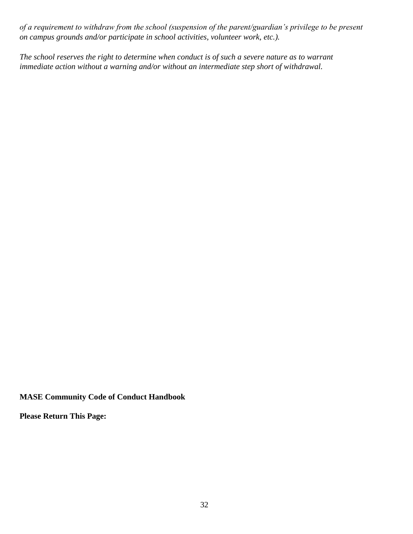*of a requirement to withdraw from the school (suspension of the parent/guardian's privilege to be present on campus grounds and/or participate in school activities, volunteer work, etc.).*

*The school reserves the right to determine when conduct is of such a severe nature as to warrant immediate action without a warning and/or without an intermediate step short of withdrawal.*

**MASE Community Code of Conduct Handbook**

**Please Return This Page:**